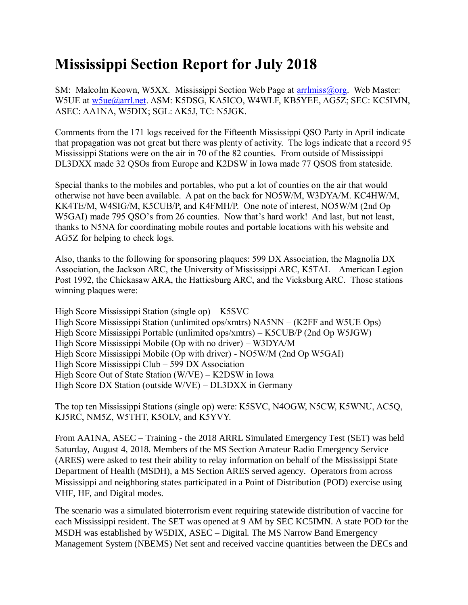## **Mississippi Section Report for July 2018**

SM: Malcolm Keown, W5XX. Mississippi Section Web Page at [arrlmiss@org.](mailto:arrlmiss@org) Web Master: W5UE at w<sub>5ue</sub>@arrl.net. ASM: K5DSG, KA5ICO, W4WLF, KB5YEE, AG5Z; SEC: KC5IMN, ASEC: AA1NA, W5DIX; SGL: AK5J, TC: N5JGK.

Comments from the 171 logs received for the Fifteenth Mississippi QSO Party in April indicate that propagation was not great but there was plenty of activity. The logs indicate that a record 95 Mississippi Stations were on the air in 70 of the 82 counties. From outside of Mississippi DL3DXX made 32 QSOs from Europe and K2DSW in Iowa made 77 QSOS from stateside.

Special thanks to the mobiles and portables, who put a lot of counties on the air that would otherwise not have been available. A pat on the back for NO5W/M, W3DYA/M. KC4HW/M, KK4TE/M, W4SIG/M, K5CUB/P, and K4FMH/P. One note of interest, NO5W/M (2nd Op W5GAI) made 795 QSO's from 26 counties. Now that's hard work! And last, but not least, thanks to N5NA for coordinating mobile routes and portable locations with his website and AG5Z for helping to check logs.

Also, thanks to the following for sponsoring plaques: 599 DX Association, the Magnolia DX Association, the Jackson ARC, the University of Mississippi ARC, K5TAL – American Legion Post 1992, the Chickasaw ARA, the Hattiesburg ARC, and the Vicksburg ARC. Those stations winning plaques were:

High Score Mississippi Station (single op) – K5SVC High Score Mississippi Station (unlimited ops/xmtrs) NA5NN – (K2FF and W5UE Ops) High Score Mississippi Portable (unlimited ops/xmtrs) – K5CUB/P (2nd Op W5JGW) High Score Mississippi Mobile (Op with no driver) – W3DYA/M High Score Mississippi Mobile (Op with driver) - NO5W/M (2nd Op W5GAI) High Score Mississippi Club – 599 DX Association High Score Out of State Station (W/VE) – K2DSW in Iowa High Score DX Station (outside W/VE) – DL3DXX in Germany

The top ten Mississippi Stations (single op) were: K5SVC, N4OGW, N5CW, K5WNU, AC5Q, KJ5RC, NM5Z, W5THT, K5OLV, and K5YVY.

From AA1NA, ASEC – Training - the 2018 ARRL Simulated Emergency Test (SET) was held Saturday, August 4, 2018. Members of the MS Section Amateur Radio Emergency Service (ARES) were asked to test their ability to relay information on behalf of the Mississippi State Department of Health (MSDH), a MS Section ARES served agency. Operators from across Mississippi and neighboring states participated in a Point of Distribution (POD) exercise using VHF, HF, and Digital modes.

The scenario was a simulated bioterrorism event requiring statewide distribution of vaccine for each Mississippi resident. The SET was opened at 9 AM by SEC KC5IMN. A state POD for the MSDH was established by W5DIX, ASEC – Digital. The MS Narrow Band Emergency Management System (NBEMS) Net sent and received vaccine quantities between the DECs and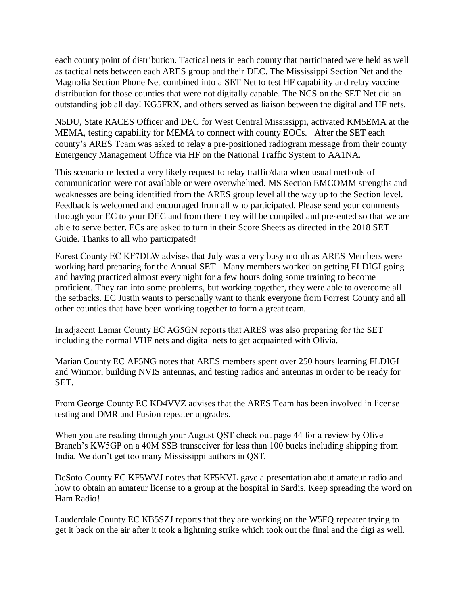each county point of distribution. Tactical nets in each county that participated were held as well as tactical nets between each ARES group and their DEC. The Mississippi Section Net and the Magnolia Section Phone Net combined into a SET Net to test HF capability and relay vaccine distribution for those counties that were not digitally capable. The NCS on the SET Net did an outstanding job all day! KG5FRX, and others served as liaison between the digital and HF nets.

N5DU, State RACES Officer and DEC for West Central Mississippi, activated KM5EMA at the MEMA, testing capability for MEMA to connect with county EOCs. After the SET each county's ARES Team was asked to relay a pre-positioned radiogram message from their county Emergency Management Office via HF on the National Traffic System to AA1NA.

This scenario reflected a very likely request to relay traffic/data when usual methods of communication were not available or were overwhelmed. MS Section EMCOMM strengths and weaknesses are being identified from the ARES group level all the way up to the Section level. Feedback is welcomed and encouraged from all who participated. Please send your comments through your EC to your DEC and from there they will be compiled and presented so that we are able to serve better. ECs are asked to turn in their Score Sheets as directed in the 2018 SET Guide. Thanks to all who participated!

Forest County EC KF7DLW advises that July was a very busy month as ARES Members were working hard preparing for the Annual SET. Many members worked on getting FLDIGI going and having practiced almost every night for a few hours doing some training to become proficient. They ran into some problems, but working together, they were able to overcome all the setbacks. EC Justin wants to personally want to thank everyone from Forrest County and all other counties that have been working together to form a great team.

In adjacent Lamar County EC AG5GN reports that ARES was also preparing for the SET including the normal VHF nets and digital nets to get acquainted with Olivia.

Marian County EC AF5NG notes that ARES members spent over 250 hours learning FLDIGI and Winmor, building NVIS antennas, and testing radios and antennas in order to be ready for SET.

From George County EC KD4VVZ advises that the ARES Team has been involved in license testing and DMR and Fusion repeater upgrades.

When you are reading through your August QST check out page 44 for a review by Olive Branch's KW5GP on a 40M SSB transceiver for less than 100 bucks including shipping from India. We don't get too many Mississippi authors in QST.

DeSoto County EC KF5WVJ notes that KF5KVL gave a presentation about amateur radio and how to obtain an amateur license to a group at the hospital in Sardis. Keep spreading the word on Ham Radio!

Lauderdale County EC KB5SZJ reports that they are working on the W5FQ repeater trying to get it back on the air after it took a lightning strike which took out the final and the digi as well.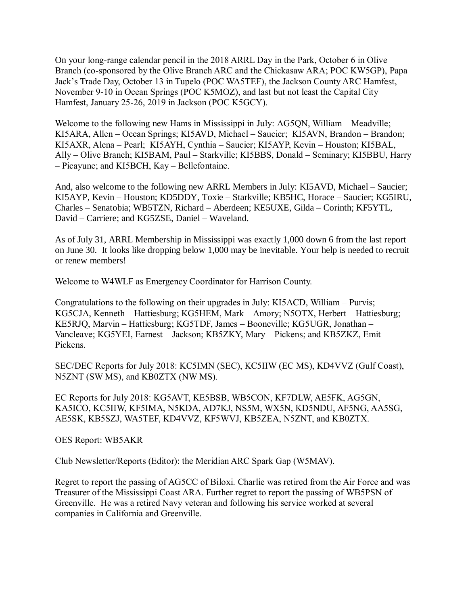On your long-range calendar pencil in the 2018 ARRL Day in the Park, October 6 in Olive Branch (co-sponsored by the Olive Branch ARC and the Chickasaw ARA; POC KW5GP), Papa Jack's Trade Day, October 13 in Tupelo (POC WA5TEF), the Jackson County ARC Hamfest, November 9-10 in Ocean Springs (POC K5MOZ), and last but not least the Capital City Hamfest, January 25-26, 2019 in Jackson (POC K5GCY).

Welcome to the following new Hams in Mississippi in July: AG5QN, William – Meadville; KI5ARA, Allen – Ocean Springs; KI5AVD, Michael – Saucier; KI5AVN, Brandon – Brandon; KI5AXR, Alena – Pearl; KI5AYH, Cynthia – Saucier; KI5AYP, Kevin – Houston; KI5BAL, Ally – Olive Branch; KI5BAM, Paul – Starkville; KI5BBS, Donald – Seminary; KI5BBU, Harry – Picayune; and KI5BCH, Kay – Bellefontaine.

And, also welcome to the following new ARRL Members in July: KI5AVD, Michael – Saucier; KI5AYP, Kevin – Houston; KD5DDY, Toxie – Starkville; KB5HC, Horace – Saucier; KG5IRU, Charles – Senatobia; WB5TZN, Richard – Aberdeen; KE5UXE, Gilda – Corinth; KF5YTL, David – Carriere; and KG5ZSE, Daniel – Waveland.

As of July 31, ARRL Membership in Mississippi was exactly 1,000 down 6 from the last report on June 30. It looks like dropping below 1,000 may be inevitable. Your help is needed to recruit or renew members!

Welcome to W4WLF as Emergency Coordinator for Harrison County.

Congratulations to the following on their upgrades in July: KI5ACD, William – Purvis; KG5CJA, Kenneth – Hattiesburg; KG5HEM, Mark – Amory; N5OTX, Herbert – Hattiesburg; KE5RJQ, Marvin – Hattiesburg; KG5TDF, James – Booneville; KG5UGR, Jonathan – Vancleave; KG5YEI, Earnest – Jackson; KB5ZKY, Mary – Pickens; and KB5ZKZ, Emit – Pickens.

SEC/DEC Reports for July 2018: KC5IMN (SEC), KC5IIW (EC MS), KD4VVZ (Gulf Coast), N5ZNT (SW MS), and KB0ZTX (NW MS).

EC Reports for July 2018: KG5AVT, KE5BSB, WB5CON, KF7DLW, AE5FK, AG5GN, KA5ICO, KC5IIW, KF5IMA, N5KDA, AD7KJ, NS5M, WX5N, KD5NDU, AF5NG, AA5SG, AE5SK, KB5SZJ, WA5TEF, KD4VVZ, KF5WVJ, KB5ZEA, N5ZNT, and KB0ZTX.

OES Report: WB5AKR

Club Newsletter/Reports (Editor): the Meridian ARC Spark Gap (W5MAV).

Regret to report the passing of AG5CC of Biloxi. Charlie was retired from the Air Force and was Treasurer of the Mississippi Coast ARA. Further regret to report the passing of WB5PSN of Greenville. He was a retired Navy veteran and following his service worked at several companies in California and Greenville.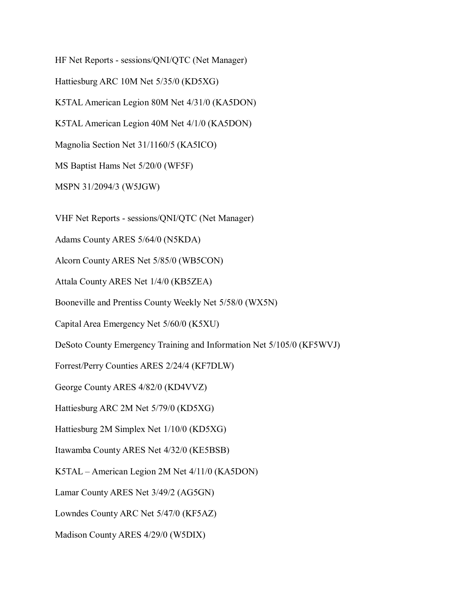HF Net Reports - sessions/QNI/QTC (Net Manager)

Hattiesburg ARC 10M Net 5/35/0 (KD5XG)

K5TAL American Legion 80M Net 4/31/0 (KA5DON)

K5TAL American Legion 40M Net 4/1/0 (KA5DON)

Magnolia Section Net 31/1160/5 (KA5ICO)

MS Baptist Hams Net 5/20/0 (WF5F)

MSPN 31/2094/3 (W5JGW)

VHF Net Reports - sessions/QNI/QTC (Net Manager)

Adams County ARES 5/64/0 (N5KDA)

Alcorn County ARES Net 5/85/0 (WB5CON)

Attala County ARES Net 1/4/0 (KB5ZEA)

Booneville and Prentiss County Weekly Net 5/58/0 (WX5N)

Capital Area Emergency Net 5/60/0 (K5XU)

DeSoto County Emergency Training and Information Net 5/105/0 (KF5WVJ)

Forrest/Perry Counties ARES 2/24/4 (KF7DLW)

George County ARES 4/82/0 (KD4VVZ)

Hattiesburg ARC 2M Net 5/79/0 (KD5XG)

Hattiesburg 2M Simplex Net 1/10/0 (KD5XG)

Itawamba County ARES Net 4/32/0 (KE5BSB)

K5TAL – American Legion 2M Net 4/11/0 (KA5DON)

Lamar County ARES Net 3/49/2 (AG5GN)

Lowndes County ARC Net 5/47/0 (KF5AZ)

Madison County ARES 4/29/0 (W5DIX)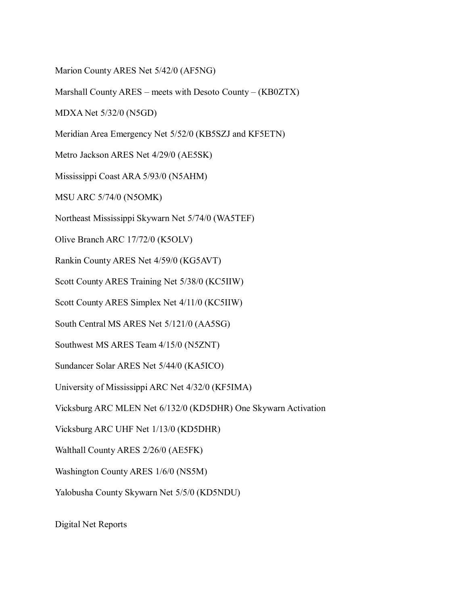Marion County ARES Net 5/42/0 (AF5NG)

Marshall County ARES – meets with Desoto County – (KB0ZTX)

MDXA Net 5/32/0 (N5GD)

Meridian Area Emergency Net 5/52/0 (KB5SZJ and KF5ETN)

Metro Jackson ARES Net 4/29/0 (AE5SK)

Mississippi Coast ARA 5/93/0 (N5AHM)

MSU ARC 5/74/0 (N5OMK)

Northeast Mississippi Skywarn Net 5/74/0 (WA5TEF)

Olive Branch ARC 17/72/0 (K5OLV)

Rankin County ARES Net 4/59/0 (KG5AVT)

Scott County ARES Training Net 5/38/0 (KC5IIW)

Scott County ARES Simplex Net 4/11/0 (KC5IIW)

South Central MS ARES Net 5/121/0 (AA5SG)

Southwest MS ARES Team 4/15/0 (N5ZNT)

Sundancer Solar ARES Net 5/44/0 (KA5ICO)

University of Mississippi ARC Net 4/32/0 (KF5IMA)

Vicksburg ARC MLEN Net 6/132/0 (KD5DHR) One Skywarn Activation

Vicksburg ARC UHF Net 1/13/0 (KD5DHR)

Walthall County ARES 2/26/0 (AE5FK)

Washington County ARES 1/6/0 (NS5M)

Yalobusha County Skywarn Net 5/5/0 (KD5NDU)

Digital Net Reports